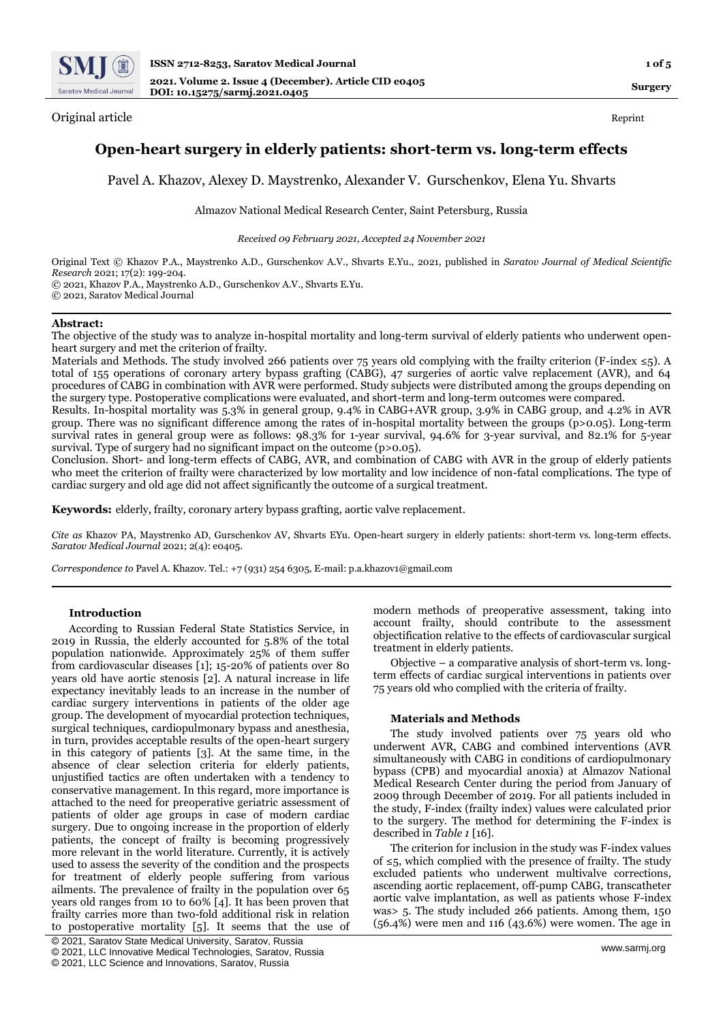

Original article Reprint

# **Open-heart surgery in elderly patients: short-term vs. long-term effects**

Pavel A. Khazov, Alexey D. Maystrenko, Alexander V. Gurschenkov, Elena Yu. Shvarts

Almazov National Medical Research Center, Saint Petersburg, Russia

*Received 09 February 2021, Accepted 24 November 2021*

Original Text © Khazov P.A., Maystrenko A.D., Gurschenkov A.V., Shvarts E.Yu., 2021, published in *Saratov Journal of Medical Scientific Research* 2021; 17(2): 199-204. © 2021, Khazov P.A., Maystrenko A.D., Gurschenkov A.V., Shvarts E.Yu.

© 2021, Saratov Medical Journal

# **Abstract:**

The objective of the study was to analyze in-hospital mortality and long-term survival of elderly patients who underwent openheart surgery and met the criterion of frailty.

Materials and Methods. The study involved 266 patients over 75 years old complying with the frailty criterion (F-index ≤5). A total of 155 operations of coronary artery bypass grafting (CABG), 47 surgeries of aortic valve replacement (AVR), and 64 procedures of CABG in combination with AVR were performed. Study subjects were distributed among the groups depending on the surgery type. Postoperative complications were evaluated, and short-term and long-term outcomes were compared.

Results. In-hospital mortality was 5.3% in general group, 9.4% in CABG+AVR group, 3.9% in CABG group, and 4.2% in AVR group. There was no significant difference among the rates of in-hospital mortality between the groups (р>0.05). Long-term survival rates in general group were as follows: 98.3% for 1-year survival, 94.6% for 3-year survival, and 82.1% for 5-year survival. Type of surgery had no significant impact on the outcome (p>0.05).

Conclusion. Short- and long-term effects of CABG, AVR, and combination of CABG with AVR in the group of elderly patients who meet the criterion of frailty were characterized by low mortality and low incidence of non-fatal complications. The type of cardiac surgery and old age did not affect significantly the outcome of a surgical treatment.

**Keywords:** elderly, frailty, coronary artery bypass grafting, aortic valve replacement.

*Cite as* Khazov PA, Maystrenko AD, Gurschenkov AV, Shvarts EYu. Open-heart surgery in elderly patients: short-term vs. long-term effects. *Saratov Medical Journal* 2021; 2(4): e0405.

*Correspondence to* Pavel A. Khazov. Tel.: +7 (931) 254 6305, E-mail: p.a.khazov1@gmail.com

## **Introduction**

According to Russian Federal State Statistics Service, in 2019 in Russia, the elderly accounted for 5.8% of the total population nationwide. Approximately 25% of them suffer from cardiovascular diseases [1]; 15-20% of patients over 80 years old have aortic stenosis [2]. A natural increase in life expectancy inevitably leads to an increase in the number of cardiac surgery interventions in patients of the older age group. The development of myocardial protection techniques, surgical techniques, cardiopulmonary bypass and anesthesia, in turn, provides acceptable results of the open-heart surgery in this category of patients [3]. At the same time, in the absence of clear selection criteria for elderly patients, unjustified tactics are often undertaken with a tendency to conservative management. In this regard, more importance is attached to the need for preoperative geriatric assessment of patients of older age groups in case of modern cardiac surgery. Due to ongoing increase in the proportion of elderly patients, the concept of frailty is becoming progressively more relevant in the world literature. Currently, it is actively used to assess the severity of the condition and the prospects for treatment of elderly people suffering from various ailments. The prevalence of frailty in the population over 65 years old ranges from 10 to 60% [4]. It has been proven that frailty carries more than two-fold additional risk in relation to postoperative mortality [5]. It seems that the use of

modern methods of preoperative assessment, taking into account frailty, should contribute to the assessment objectification relative to the effects of cardiovascular surgical treatment in elderly patients.

Objective – a comparative analysis of short-term vs. longterm effects of cardiac surgical interventions in patients over 75 years old who complied with the criteria of frailty.

## **Materials and Methods**

The study involved patients over 75 years old who underwent AVR, CABG and combined interventions (AVR simultaneously with CABG in conditions of cardiopulmonary bypass (CPB) and myocardial anoxia) at Almazov National Medical Research Center during the period from January of 2009 through December of 2019. For all patients included in the study, F-index (frailty index) values were calculated prior to the surgery. The method for determining the F-index is described in *Table 1* [16].

The criterion for inclusion in the study was F-index values of ≤5, which complied with the presence of frailty. The study excluded patients who underwent multivalve corrections, ascending aortic replacement, off-pump CABG, transcatheter aortic valve implantation, as well as patients whose F-index was> 5. The study included 266 patients. Among them, 150 (56.4%) were men and 116 (43.6%) were women. The age in

<sup>©</sup> 2021, Saratov State Medical University, Saratov, Russia

<sup>©</sup> 2021, LLC Innovative Medical Technologies, Saratov, Russia

<sup>©</sup> 2021, LLC Science and Innovations, Saratov, Russia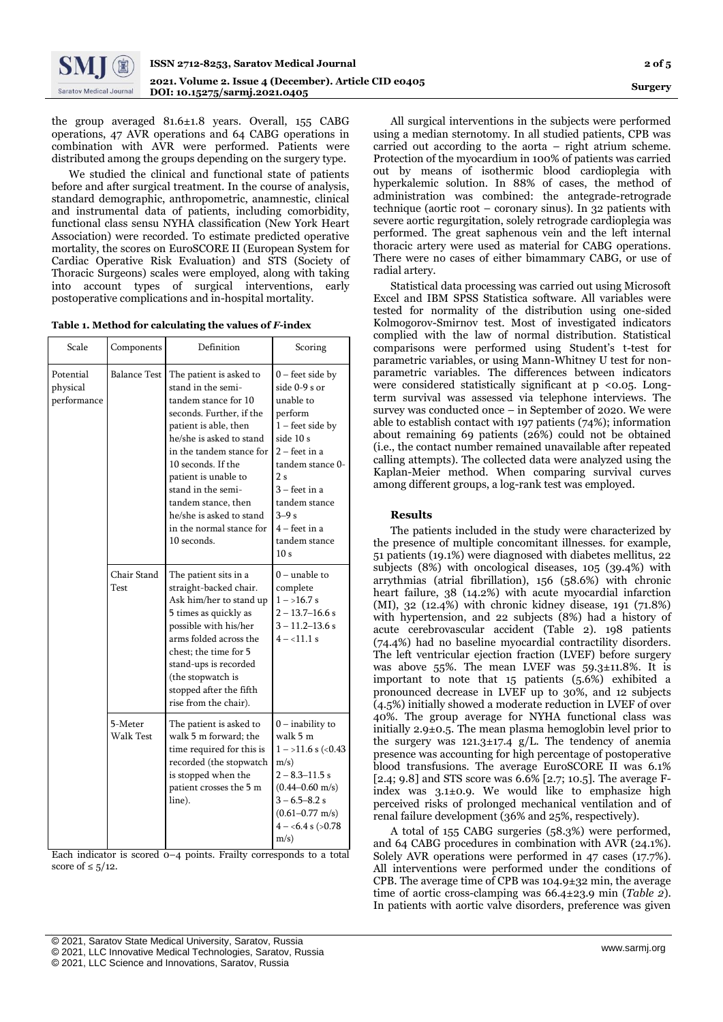

**Surgery**

the group averaged 81.6±1.8 years. Overall, 155 CABG operations, 47 AVR operations and 64 CABG operations in combination with AVR were performed. Patients were distributed among the groups depending on the surgery type.

We studied the clinical and functional state of patients before and after surgical treatment. In the course of analysis, standard demographic, anthropometric, anamnestic, clinical and instrumental data of patients, including comorbidity, functional class sensu NYHA classification (New York Heart Association) were recorded. To estimate predicted operative mortality, the scores on EuroSCORE II (European System for Cardiac Operative Risk Evaluation) and STS (Society of Thoracic Surgeons) scales were employed, along with taking into account types of surgical interventions, early postoperative complications and in-hospital mortality.

**Table 1. Method for calculating the values of** *F***-index**

| Scale                                | Components           | Definition                                                                                                                                                                                                                                                                                                                                           | Scoring                                                                                                                                                                                                                                          |  |
|--------------------------------------|----------------------|------------------------------------------------------------------------------------------------------------------------------------------------------------------------------------------------------------------------------------------------------------------------------------------------------------------------------------------------------|--------------------------------------------------------------------------------------------------------------------------------------------------------------------------------------------------------------------------------------------------|--|
| Potential<br>physical<br>performance | <b>Balance Test</b>  | The patient is asked to<br>stand in the semi-<br>tandem stance for 10<br>seconds. Further, if the<br>patient is able, then<br>he/she is asked to stand<br>in the tandem stance for<br>10 seconds. If the<br>patient is unable to<br>stand in the semi-<br>tandem stance, then<br>he/she is asked to stand<br>in the normal stance for<br>10 seconds. | $0$ – feet side by<br>side 0-9 s or<br>unable to<br>perform<br>$1 -$ feet side by<br>side 10 s<br>$2 -$ feet in a<br>tandem stance 0-<br>2s<br>$3 -$ feet in a<br>tandem stance<br>$3-9s$<br>$4 - feet$ in a<br>tandem stance<br>10 <sub>s</sub> |  |
|                                      | Chair Stand<br>Test  | The patient sits in a<br>straight-backed chair.<br>Ask him/her to stand up<br>5 times as quickly as<br>possible with his/her<br>arms folded across the<br>chest; the time for 5<br>stand-ups is recorded<br>(the stopwatch is<br>stopped after the fifth<br>rise from the chair).                                                                    | $0$ – unable to<br>complete<br>$1 - 16.7$ s<br>$2 - 13.7 - 16.6$ s<br>$3 - 11.2 - 13.6$ s<br>$4 - 11.1$ s                                                                                                                                        |  |
|                                      | 5-Meter<br>Walk Test | The patient is asked to<br>walk 5 m forward; the<br>time required for this is<br>recorded (the stopwatch<br>is stopped when the<br>patient crosses the 5 m<br>line).                                                                                                                                                                                 | $0$ – inability to<br>walk 5 m<br>$1 - 11.6$ s (<0.43)<br>$m/s$ )<br>$2 - 8.3 - 11.5$ s<br>$(0.44 - 0.60$ m/s)<br>$3 - 6.5 - 8.2$ s<br>$(0.61 - 0.77$ m/s)<br>$4 - 6.4$ s ( $>0.78$ )<br>$m/s$ )                                                 |  |

Each indicator is scored 0–4 points. Frailty corresponds to a total score of  $\leq 5/12$ .

Statistical data processing was carried out using Microsoft Excel and IBM SPSS Statistica software. All variables were tested for normality of the distribution using one-sided Kolmogorov-Smirnov test. Most of investigated indicators complied with the law of normal distribution. Statistical comparisons were performed using Student's t-test for parametric variables, or using Mann-Whitney U test for nonparametric variables. The differences between indicators were considered statistically significant at p <0.05. Longterm survival was assessed via telephone interviews. The survey was conducted once – in September of 2020. We were able to establish contact with 197 patients (74%); information about remaining 69 patients (26%) could not be obtained (i.e., the contact number remained unavailable after repeated calling attempts). The collected data were analyzed using the Kaplan-Meier method. When comparing survival curves among different groups, a log-rank test was employed.

# **Results**

The patients included in the study were characterized by the presence of multiple concomitant illnesses. for example, 51 patients (19.1%) were diagnosed with diabetes mellitus, 22 subjects (8%) with oncological diseases, 105 (39.4%) with arrythmias (atrial fibrillation), 156 (58.6%) with chronic heart failure, 38 (14.2%) with acute myocardial infarction (MI), 32 (12.4%) with chronic kidney disease, 191 (71.8%) with hypertension, and 22 subjects (8%) had a history of acute cerebrovascular accident (Table 2). 198 patients (74.4%) had no baseline myocardial contractility disorders. The left ventricular ejection fraction (LVEF) before surgery was above 55%. The mean LVEF was 59.3±11.8%. It is important to note that 15 patients (5.6%) exhibited a pronounced decrease in LVEF up to 30%, and 12 subjects (4.5%) initially showed a moderate reduction in LVEF of over 40%. The group average for NYHA functional class was initially 2.9±0.5. The mean plasma hemoglobin level prior to the surgery was  $121.3 \pm 17.4$  g/L. The tendency of anemia presence was accounting for high percentage of postoperative blood transfusions. The average EuroSCORE II was 6.1% [2.4; 9.8] and STS score was 6.6% [2.7; 10.5]. The average Findex was 3.1±0.9. We would like to emphasize high perceived risks of prolonged mechanical ventilation and of renal failure development (36% and 25%, respectively).

A total of 155 CABG surgeries (58.3%) were performed, and 64 CABG procedures in combination with AVR (24.1%). Solely AVR operations were performed in 47 cases (17.7%). All interventions were performed under the conditions of CPB. The average time of CPB was 104.9±32 min, the average time of aortic cross-clamping was 66.4±23.9 min (*Table 2*). In patients with aortic valve disorders, preference was given

All surgical interventions in the subjects were performed using a median sternotomy. In all studied patients, CPB was carried out according to the aorta – right atrium scheme. Protection of the myocardium in 100% of patients was carried out by means of isothermic blood cardioplegia with hyperkalemic solution. In 88% of cases, the method of administration was combined: the antegrade-retrograde technique (aortic root – coronary sinus). In 32 patients with severe aortic regurgitation, solely retrograde cardioplegia was performed. The great saphenous vein and the left internal thoracic artery were used as material for CABG operations. There were no cases of either bimammary CABG, or use of radial artery.

<sup>[</sup> © 2021, Saratov State Medical University, Saratov, Russia

<sup>©</sup> 2021, LLC Innovative Medical Technologies, Saratov, Russia

<sup>©</sup> 2021, LLC Science and Innovations, Saratov, Russia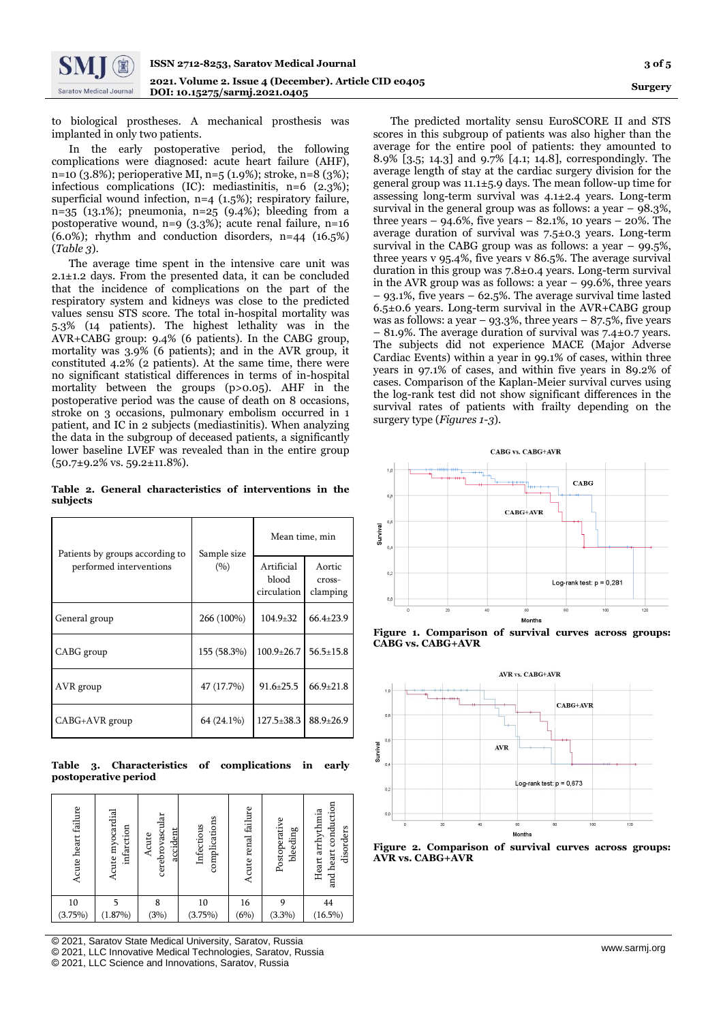to biological prostheses. A mechanical prosthesis was implanted in only two patients.

In the early postoperative period, the following complications were diagnosed: acute heart failure (AHF), n=10 (3.8%); perioperative MI, n=5 (1.9%); stroke, n=8 (3%); infectious complications (IC): mediastinitis, n=6 (2.3%); superficial wound infection, n=4 (1.5%); respiratory failure, n=35 (13.1%); pneumonia, n=25 (9.4%); bleeding from a postoperative wound, n=9 (3.3%); acute renal failure, n=16 (6.0%); rhythm and conduction disorders, n=44 (16.5%) (*Table 3*).

The average time spent in the intensive care unit was 2.1±1.2 days. From the presented data, it can be concluded that the incidence of complications on the part of the respiratory system and kidneys was close to the predicted values sensu STS score. The total in-hospital mortality was 5.3% (14 patients). The highest lethality was in the AVR+CABG group: 9.4% (6 patients). In the CABG group, mortality was 3.9% (6 patients); and in the AVR group, it constituted 4.2% (2 patients). At the same time, there were no significant statistical differences in terms of in-hospital mortality between the groups (p>0.05). AHF in the postoperative period was the cause of death on 8 occasions, stroke on 3 occasions, pulmonary embolism occurred in 1 patient, and IC in 2 subjects (mediastinitis). When analyzing the data in the subgroup of deceased patients, a significantly lower baseline LVEF was revealed than in the entire group (50.7±9.2% vs. 59.2±11.8%).

**Table 2. General characteristics of interventions in the subjects**

| Patients by groups according to | Sample size | Mean time, min                     |                              |
|---------------------------------|-------------|------------------------------------|------------------------------|
| performed interventions         | (9/0)       | Artificial<br>blood<br>circulation | Aortic<br>cross-<br>clamping |
| General group                   | 266 (100%)  | $104.9 + 32$                       | $66.4 \pm 23.9$              |
| CABG group                      | 155 (58.3%) | $100.9 \pm 26.7$                   | $56.5 \pm 15.8$              |
| AVR group                       | 47 (17.7%)  | $91.6 \pm 25.5$                    | $66.9 \pm 21.8$              |
| CABG+AVR group                  | 64 (24.1%)  | $127.5 \pm 38.3$                   | $88.9 \pm 26.9$              |

**Table 3. Characteristics of complications in early postoperative period**

| Acute heart failure | Acute myocardial<br>infarction | cerebrovascular<br>accident<br>Acute | complications<br>Infectious | Acute renal failure | Postoperative<br>bleeding | and heart conduction<br>Heart arrhythmia<br>disorders |
|---------------------|--------------------------------|--------------------------------------|-----------------------------|---------------------|---------------------------|-------------------------------------------------------|
| 10                  |                                | 8                                    | 10                          | 16                  | 9                         | 44                                                    |
| (3.75%)             | $(1.87\%)$                     | (3%)                                 | (3.75%)                     | (6%)                | $(3.3\%)$                 | $(16.5\%)$                                            |

[ © 2021, Saratov State Medical University, Saratov, Russia

© 2021, LLC Innovative Medical Technologies, Saratov, Russia

© 2021, LLC Science and Innovations, Saratov, Russia

The predicted mortality sensu EuroSCORE II and STS scores in this subgroup of patients was also higher than the average for the entire pool of patients: they amounted to 8.9% [3.5; 14.3] and 9.7% [4.1; 14.8], correspondingly. The average length of stay at the cardiac surgery division for the general group was 11.1±5.9 days. The mean follow-up time for assessing long-term survival was 4.1±2.4 years. Long-term survival in the general group was as follows: a year  $-$  98.3%, three years –  $94.6\%$ , five years –  $82.1\%$ , 10 years –  $20\%$ . The average duration of survival was 7.5±0.3 years. Long-term survival in the CABG group was as follows: a year  $-99.5\%$ , three years v 95.4%, five years v 86.5%. The average survival duration in this group was 7.8±0.4 years. Long-term survival in the AVR group was as follows: a year – 99.6%, three years – 93.1%, five years – 62.5%. The average survival time lasted 6.5±0.6 years. Long-term survival in the AVR+CABG group was as follows: a year – 93.3%, three years – 87.5%, five years – 81.9%. The average duration of survival was 7.4±0.7 years. The subjects did not experience MACE (Major Adverse Cardiac Events) within a year in 99.1% of cases, within three years in 97.1% of cases, and within five years in 89.2% of cases. Comparison of the Kaplan-Meier survival curves using the log-rank test did not show significant differences in the survival rates of patients with frailty depending on the surgery type (*Figures 1-3*).



**Figure 1. Comparison of survival curves across groups: CABG vs. CABG+AVR**



**Figure 2. Comparison of survival curves across groups: AVR vs. CABG+AVR**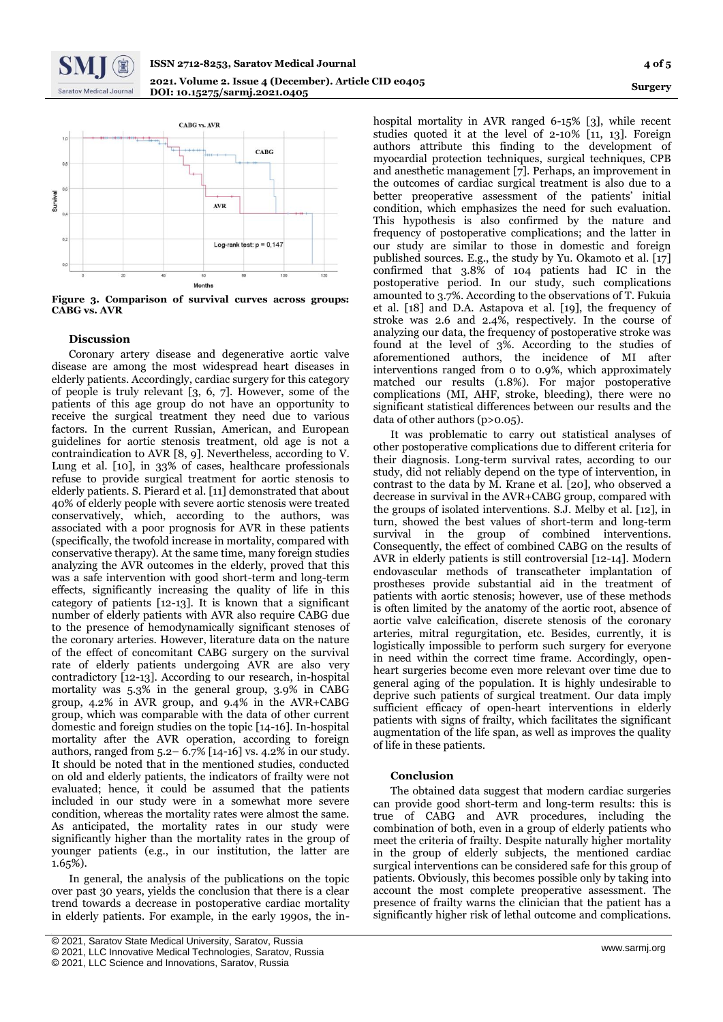



**Figure 3. Comparison of survival curves across groups: CABG vs. AVR**

# **Discussion**

Coronary artery disease and degenerative aortic valve disease are among the most widespread heart diseases in elderly patients. Accordingly, cardiac surgery for this category of people is truly relevant [3, 6, 7]. However, some of the patients of this age group do not have an opportunity to receive the surgical treatment they need due to various factors. In the current Russian, American, and European guidelines for aortic stenosis treatment, old age is not a contraindication to AVR [8, 9]. Nevertheless, according to V. Lung et al. [10], in 33% of cases, healthcare professionals refuse to provide surgical treatment for aortic stenosis to elderly patients. S. Pierard et al. [11] demonstrated that about 40% of elderly people with severe aortic stenosis were treated conservatively, which, according to the authors, was associated with a poor prognosis for AVR in these patients (specifically, the twofold increase in mortality, compared with conservative therapy). At the same time, many foreign studies analyzing the AVR outcomes in the elderly, proved that this was a safe intervention with good short-term and long-term effects, significantly increasing the quality of life in this category of patients [12-13]. It is known that a significant number of elderly patients with AVR also require CABG due to the presence of hemodynamically significant stenoses of the coronary arteries. However, literature data on the nature of the effect of concomitant CABG surgery on the survival rate of elderly patients undergoing AVR are also very contradictory [12-13]. According to our research, in-hospital mortality was 5.3% in the general group, 3.9% in CABG group, 4.2% in AVR group, and 9.4% in the AVR+CABG group, which was comparable with the data of other current domestic and foreign studies on the topic [14-16]. In-hospital mortality after the AVR operation, according to foreign authors, ranged from 5.2– 6.7% [14-16] vs. 4.2% in our study. It should be noted that in the mentioned studies, conducted on old and elderly patients, the indicators of frailty were not evaluated; hence, it could be assumed that the patients included in our study were in a somewhat more severe condition, whereas the mortality rates were almost the same. As anticipated, the mortality rates in our study were significantly higher than the mortality rates in the group of younger patients (e.g., in our institution, the latter are 1.65%).

In general, the analysis of the publications on the topic over past 30 years, yields the conclusion that there is a clear trend towards a decrease in postoperative cardiac mortality in elderly patients. For example, in the early 1990s, the in-

hospital mortality in AVR ranged 6-15% [3], while recent studies quoted it at the level of 2-10% [11, 13]. Foreign authors attribute this finding to the development of myocardial protection techniques, surgical techniques, CPB and anesthetic management [7]. Perhaps, an improvement in the outcomes of cardiac surgical treatment is also due to a better preoperative assessment of the patients' initial condition, which emphasizes the need for such evaluation. This hypothesis is also confirmed by the nature and frequency of postoperative complications; and the latter in our study are similar to those in domestic and foreign published sources. E.g., the study by Yu. Okamoto et al. [17] confirmed that 3.8% of 104 patients had IC in the postoperative period. In our study, such complications amounted to 3.7%. According to the observations of T. Fukuia et al. [18] and D.A. Astapova et al. [19], the frequency of stroke was 2.6 and 2.4%, respectively. In the course of analyzing our data, the frequency of postoperative stroke was found at the level of 3%. According to the studies of aforementioned authors, the incidence of MI after interventions ranged from 0 to 0.9%, which approximately matched our results (1.8%). For major postoperative complications (MI, AHF, stroke, bleeding), there were no significant statistical differences between our results and the data of other authors (p>0.05).

It was problematic to carry out statistical analyses of other postoperative complications due to different criteria for their diagnosis. Long-term survival rates, according to our study, did not reliably depend on the type of intervention, in contrast to the data by M. Krane et al. [20], who observed a decrease in survival in the AVR+CABG group, compared with the groups of isolated interventions. S.J. Melby et al. [12], in turn, showed the best values of short-term and long-term survival in the group of combined interventions. Consequently, the effect of combined CABG on the results of AVR in elderly patients is still controversial [12-14]. Modern endovascular methods of transcatheter implantation of prostheses provide substantial aid in the treatment of patients with aortic stenosis; however, use of these methods is often limited by the anatomy of the aortic root, absence of aortic valve calcification, discrete stenosis of the coronary arteries, mitral regurgitation, etc. Besides, currently, it is logistically impossible to perform such surgery for everyone in need within the correct time frame. Accordingly, openheart surgeries become even more relevant over time due to general aging of the population. It is highly undesirable to deprive such patients of surgical treatment. Our data imply sufficient efficacy of open-heart interventions in elderly patients with signs of frailty, which facilitates the significant augmentation of the life span, as well as improves the quality of life in these patients.

## **Conclusion**

The obtained data suggest that modern cardiac surgeries can provide good short-term and long-term results: this is true of CABG and AVR procedures, including the combination of both, even in a group of elderly patients who meet the criteria of frailty. Despite naturally higher mortality in the group of elderly subjects, the mentioned cardiac surgical interventions can be considered safe for this group of patients. Obviously, this becomes possible only by taking into account the most complete preoperative assessment. The presence of frailty warns the clinician that the patient has a significantly higher risk of lethal outcome and complications.

<sup>[</sup> © 2021, Saratov State Medical University, Saratov, Russia

<sup>©</sup> 2021, LLC Innovative Medical Technologies, Saratov, Russia

<sup>©</sup> 2021, LLC Science and Innovations, Saratov, Russia